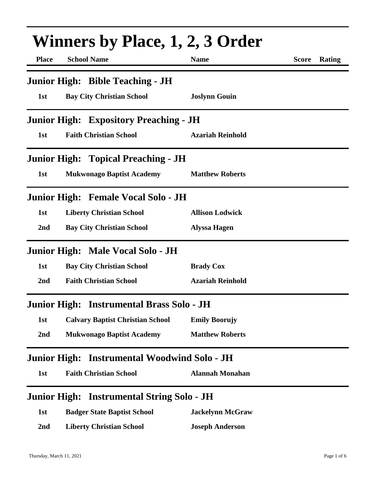| <b>Winners by Place, 1, 2, 3 Order</b> |                                                   |                         |                        |  |
|----------------------------------------|---------------------------------------------------|-------------------------|------------------------|--|
| <b>Place</b>                           | <b>School Name</b>                                | <b>Name</b>             | <b>Score</b><br>Rating |  |
|                                        | <b>Junior High: Bible Teaching - JH</b>           |                         |                        |  |
| 1st                                    | <b>Bay City Christian School</b>                  | <b>Joslynn Gouin</b>    |                        |  |
|                                        | <b>Junior High: Expository Preaching - JH</b>     |                         |                        |  |
| 1st                                    | <b>Faith Christian School</b>                     | <b>Azariah Reinhold</b> |                        |  |
|                                        | <b>Junior High: Topical Preaching - JH</b>        |                         |                        |  |
| 1st                                    | <b>Mukwonago Baptist Academy</b>                  | <b>Matthew Roberts</b>  |                        |  |
|                                        | Junior High: Female Vocal Solo - JH               |                         |                        |  |
| 1st                                    | <b>Liberty Christian School</b>                   | <b>Allison Lodwick</b>  |                        |  |
| 2nd                                    | <b>Bay City Christian School</b>                  | <b>Alyssa Hagen</b>     |                        |  |
|                                        | Junior High: Male Vocal Solo - JH                 |                         |                        |  |
| 1st                                    | <b>Bay City Christian School</b>                  | <b>Brady Cox</b>        |                        |  |
| 2nd                                    | <b>Faith Christian School</b>                     | <b>Azariah Reinhold</b> |                        |  |
|                                        | Junior High: Instrumental Brass Solo - JH         |                         |                        |  |
| 1st                                    | <b>Calvary Baptist Christian School</b>           | <b>Emily Boorujy</b>    |                        |  |
| 2nd                                    | <b>Mukwonago Baptist Academy</b>                  | <b>Matthew Roberts</b>  |                        |  |
| <b>Junior High:</b>                    | <b>Instrumental Woodwind Solo - JH</b>            |                         |                        |  |
| 1st                                    | <b>Faith Christian School</b>                     | <b>Alannah Monahan</b>  |                        |  |
|                                        | <b>Junior High: Instrumental String Solo - JH</b> |                         |                        |  |
| 1st                                    | <b>Badger State Baptist School</b>                | <b>Jackelynn McGraw</b> |                        |  |
| 2 <sub>nd</sub>                        | <b>Liberty Christian School</b>                   | <b>Joseph Anderson</b>  |                        |  |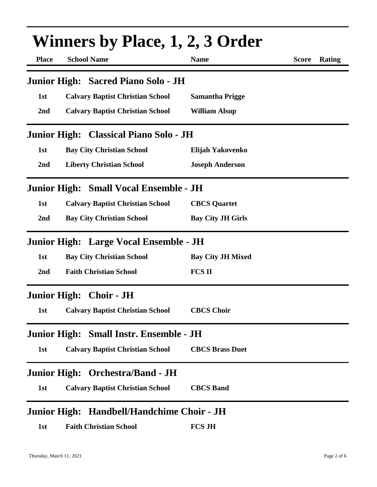| <b>Place</b>        | <b>Winners by Place, 1, 2, 3 Order</b><br><b>School Name</b> | <b>Name</b>              | <b>Rating</b><br><b>Score</b> |
|---------------------|--------------------------------------------------------------|--------------------------|-------------------------------|
|                     | Junior High: Sacred Piano Solo - JH                          |                          |                               |
| 1st                 | <b>Calvary Baptist Christian School</b>                      | <b>Samantha Prigge</b>   |                               |
| 2nd                 | <b>Calvary Baptist Christian School</b>                      | <b>William Alsup</b>     |                               |
|                     | Junior High: Classical Piano Solo - JH                       |                          |                               |
| 1st                 | <b>Bay City Christian School</b>                             | Elijah Yakovenko         |                               |
| 2nd                 | <b>Liberty Christian School</b>                              | <b>Joseph Anderson</b>   |                               |
|                     | Junior High: Small Vocal Ensemble - JH                       |                          |                               |
| 1st                 | <b>Calvary Baptist Christian School</b>                      | <b>CBCS</b> Quartet      |                               |
| 2nd                 | <b>Bay City Christian School</b>                             | <b>Bay City JH Girls</b> |                               |
|                     | Junior High: Large Vocal Ensemble - JH                       |                          |                               |
| 1st                 | <b>Bay City Christian School</b>                             | <b>Bay City JH Mixed</b> |                               |
| 2nd                 | <b>Faith Christian School</b>                                | <b>FCS II</b>            |                               |
|                     | Junior High: Choir - JH                                      |                          |                               |
| 1st                 | <b>Calvary Baptist Christian School</b>                      | <b>CBCS Choir</b>        |                               |
|                     | Junior High: Small Instr. Ensemble - JH                      |                          |                               |
| 1st                 | <b>Calvary Baptist Christian School</b>                      | <b>CBCS Brass Duet</b>   |                               |
|                     | Junior High: Orchestra/Band - JH                             |                          |                               |
| 1st                 | <b>Calvary Baptist Christian School</b>                      | <b>CBCS Band</b>         |                               |
| <b>Junior High:</b> | Handbell/Handchime Choir - JH                                |                          |                               |
| 1st                 | <b>Faith Christian School</b>                                | <b>FCS JH</b>            |                               |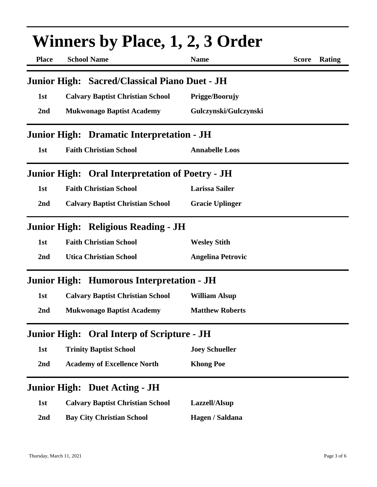| Winners by Place, 1, 2, 3 Order |                                                        |                          |                        |  |
|---------------------------------|--------------------------------------------------------|--------------------------|------------------------|--|
| <b>Place</b>                    | <b>School Name</b>                                     | <b>Name</b>              | <b>Score</b><br>Rating |  |
|                                 | Junior High: Sacred/Classical Piano Duet - JH          |                          |                        |  |
| 1st                             | <b>Calvary Baptist Christian School</b>                | Prigge/Boorujy           |                        |  |
| 2nd                             | <b>Mukwonago Baptist Academy</b>                       | Gulczynski/Gulczynski    |                        |  |
|                                 | Junior High: Dramatic Interpretation - JH              |                          |                        |  |
| 1st                             | <b>Faith Christian School</b>                          | <b>Annabelle Loos</b>    |                        |  |
|                                 | <b>Junior High: Oral Interpretation of Poetry - JH</b> |                          |                        |  |
| 1st                             | <b>Faith Christian School</b>                          | <b>Larissa Sailer</b>    |                        |  |
| 2nd                             | <b>Calvary Baptist Christian School</b>                | <b>Gracie Uplinger</b>   |                        |  |
|                                 | Junior High: Religious Reading - JH                    |                          |                        |  |
| 1st                             | <b>Faith Christian School</b>                          | <b>Wesley Stith</b>      |                        |  |
| 2 <sub>nd</sub>                 | <b>Utica Christian School</b>                          | <b>Angelina Petrovic</b> |                        |  |
|                                 | Junior High: Humorous Interpretation - JH              |                          |                        |  |
| 1st                             | <b>Calvary Baptist Christian School</b>                | <b>William Alsup</b>     |                        |  |
| 2 <sub>nd</sub>                 | <b>Mukwonago Baptist Academy</b>                       | <b>Matthew Roberts</b>   |                        |  |
|                                 | <b>Junior High: Oral Interp of Scripture - JH</b>      |                          |                        |  |
| 1st                             | <b>Trinity Baptist School</b>                          | <b>Joey Schueller</b>    |                        |  |
| 2nd                             | <b>Academy of Excellence North</b>                     | <b>Khong Poe</b>         |                        |  |
|                                 | <b>Junior High: Duet Acting - JH</b>                   |                          |                        |  |
| 1st                             | <b>Calvary Baptist Christian School</b>                | Lazzell/Alsup            |                        |  |
| 2 <sub>nd</sub>                 | <b>Bay City Christian School</b>                       | Hagen / Saldana          |                        |  |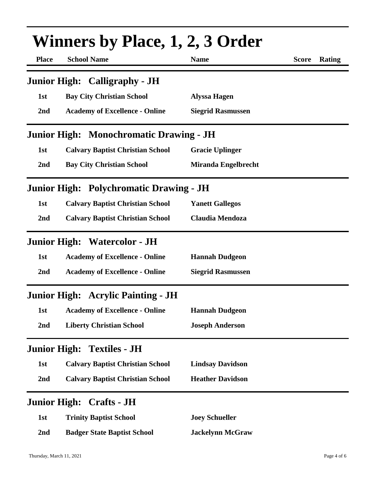| <b>Winners by Place, 1, 2, 3 Order</b> |                                                |                          |              |        |
|----------------------------------------|------------------------------------------------|--------------------------|--------------|--------|
| <b>Place</b>                           | <b>School Name</b>                             | <b>Name</b>              | <b>Score</b> | Rating |
|                                        | <b>Junior High: Calligraphy - JH</b>           |                          |              |        |
| 1st                                    | <b>Bay City Christian School</b>               | <b>Alyssa Hagen</b>      |              |        |
| 2nd                                    | <b>Academy of Excellence - Online</b>          | <b>Siegrid Rasmussen</b> |              |        |
|                                        | <b>Junior High: Monochromatic Drawing - JH</b> |                          |              |        |
| 1st                                    | <b>Calvary Baptist Christian School</b>        | <b>Gracie Uplinger</b>   |              |        |
| 2nd                                    | <b>Bay City Christian School</b>               | Miranda Engelbrecht      |              |        |
|                                        | <b>Junior High: Polychromatic Drawing - JH</b> |                          |              |        |
| 1st                                    | <b>Calvary Baptist Christian School</b>        | <b>Yanett Gallegos</b>   |              |        |
| 2nd                                    | <b>Calvary Baptist Christian School</b>        | <b>Claudia Mendoza</b>   |              |        |
|                                        | <b>Junior High: Watercolor - JH</b>            |                          |              |        |
| 1st                                    | <b>Academy of Excellence - Online</b>          | <b>Hannah Dudgeon</b>    |              |        |
| 2nd                                    | <b>Academy of Excellence - Online</b>          | <b>Siegrid Rasmussen</b> |              |        |
|                                        | <b>Junior High: Acrylic Painting - JH</b>      |                          |              |        |
| 1st                                    | <b>Academy of Excellence - Online</b>          | <b>Hannah Dudgeon</b>    |              |        |
| 2nd                                    | <b>Liberty Christian School</b>                | <b>Joseph Anderson</b>   |              |        |
| <b>Junior High:</b>                    | <b>Textiles - JH</b>                           |                          |              |        |
| 1st                                    | <b>Calvary Baptist Christian School</b>        | <b>Lindsay Davidson</b>  |              |        |
| 2nd                                    | <b>Calvary Baptist Christian School</b>        | <b>Heather Davidson</b>  |              |        |
|                                        | <b>Junior High: Crafts - JH</b>                |                          |              |        |
| 1st                                    | <b>Trinity Baptist School</b>                  | <b>Joey Schueller</b>    |              |        |
| 2nd                                    | <b>Badger State Baptist School</b>             | <b>Jackelynn McGraw</b>  |              |        |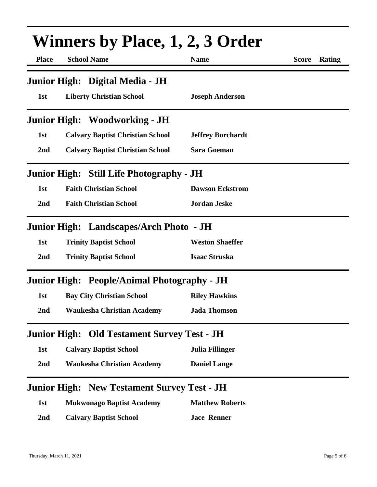| <b>Winners by Place, 1, 2, 3 Order</b> |                                                    |                          |                        |  |
|----------------------------------------|----------------------------------------------------|--------------------------|------------------------|--|
| <b>Place</b>                           | <b>School Name</b>                                 | <b>Name</b>              | Rating<br><b>Score</b> |  |
|                                        | Junior High: Digital Media - JH                    |                          |                        |  |
| 1st                                    | <b>Liberty Christian School</b>                    | <b>Joseph Anderson</b>   |                        |  |
|                                        | <b>Junior High: Woodworking - JH</b>               |                          |                        |  |
| 1st                                    | <b>Calvary Baptist Christian School</b>            | <b>Jeffrey Borchardt</b> |                        |  |
| 2nd                                    | <b>Calvary Baptist Christian School</b>            | <b>Sara Goeman</b>       |                        |  |
|                                        | Junior High: Still Life Photography - JH           |                          |                        |  |
| 1st                                    | <b>Faith Christian School</b>                      | <b>Dawson Eckstrom</b>   |                        |  |
| 2 <sub>nd</sub>                        | <b>Faith Christian School</b>                      | <b>Jordan Jeske</b>      |                        |  |
|                                        | Junior High: Landscapes/Arch Photo - JH            |                          |                        |  |
| 1st                                    | <b>Trinity Baptist School</b>                      | <b>Weston Shaeffer</b>   |                        |  |
| 2nd                                    | <b>Trinity Baptist School</b>                      | <b>Isaac Struska</b>     |                        |  |
|                                        | Junior High: People/Animal Photography - JH        |                          |                        |  |
| 1st                                    | <b>Bay City Christian School</b>                   | <b>Riley Hawkins</b>     |                        |  |
| 2nd                                    | <b>Waukesha Christian Academy</b>                  | <b>Jada Thomson</b>      |                        |  |
|                                        | <b>Junior High: Old Testament Survey Test - JH</b> |                          |                        |  |
| 1st                                    | <b>Calvary Baptist School</b>                      | Julia Fillinger          |                        |  |
| 2nd                                    | <b>Waukesha Christian Academy</b>                  | <b>Daniel Lange</b>      |                        |  |
|                                        | <b>Junior High: New Testament Survey Test - JH</b> |                          |                        |  |
| 1st                                    | <b>Mukwonago Baptist Academy</b>                   | <b>Matthew Roberts</b>   |                        |  |